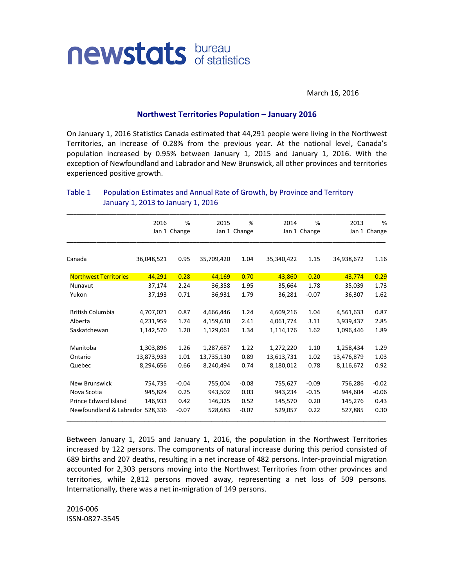

March 16, 2016

## **Northwest Territories Population – January 2016**

On January 1, 2016 Statistics Canada estimated that 44,291 people were living in the Northwest Territories, an increase of 0.28% from the previous year. At the national level, Canada's population increased by 0.95% between January 1, 2015 and January 1, 2016. With the exception of Newfoundland and Labrador and New Brunswick, all other provinces and territories experienced positive growth.

|                                 | 2016         | %       | 2015         | %       | 2014       | %            | 2013       | %            |
|---------------------------------|--------------|---------|--------------|---------|------------|--------------|------------|--------------|
|                                 | Jan 1 Change |         | Jan 1 Change |         |            | Jan 1 Change |            | Jan 1 Change |
| Canada                          | 36,048,521   | 0.95    | 35,709,420   | 1.04    | 35,340,422 | 1.15         | 34,938,672 | 1.16         |
| <b>Northwest Territories</b>    | 44,291       | 0.28    | 44,169       | 0.70    | 43,860     | 0.20         | 43,774     | 0.29         |
| Nunavut                         | 37,174       | 2.24    | 36,358       | 1.95    | 35,664     | 1.78         | 35,039     | 1.73         |
| Yukon                           | 37,193       | 0.71    | 36,931       | 1.79    | 36,281     | $-0.07$      | 36,307     | 1.62         |
| <b>British Columbia</b>         | 4,707,021    | 0.87    | 4,666,446    | 1.24    | 4,609,216  | 1.04         | 4,561,633  | 0.87         |
| Alberta                         | 4,231,959    | 1.74    | 4,159,630    | 2.41    | 4,061,774  | 3.11         | 3,939,437  | 2.85         |
| Saskatchewan                    | 1,142,570    | 1.20    | 1,129,061    | 1.34    | 1,114,176  | 1.62         | 1,096,446  | 1.89         |
| Manitoba                        | 1,303,896    | 1.26    | 1,287,687    | 1.22    | 1,272,220  | 1.10         | 1,258,434  | 1.29         |
| Ontario                         | 13,873,933   | 1.01    | 13,735,130   | 0.89    | 13,613,731 | 1.02         | 13,476,879 | 1.03         |
| Quebec                          | 8,294,656    | 0.66    | 8,240,494    | 0.74    | 8,180,012  | 0.78         | 8,116,672  | 0.92         |
| New Brunswick                   | 754,735      | $-0.04$ | 755,004      | $-0.08$ | 755,627    | $-0.09$      | 756,286    | $-0.02$      |
| Nova Scotia                     | 945,824      | 0.25    | 943,502      | 0.03    | 943,234    | $-0.15$      | 944,604    | $-0.06$      |
| Prince Edward Island            | 146,933      | 0.42    | 146,325      | 0.52    | 145,570    | 0.20         | 145,276    | 0.43         |
| Newfoundland & Labrador 528,336 |              | $-0.07$ | 528,683      | $-0.07$ | 529,057    | 0.22         | 527,885    | 0.30         |

## Table 1 Population Estimates and Annual Rate of Growth, by Province and Territory January 1, 2013 to January 1, 2016

Between January 1, 2015 and January 1, 2016, the population in the Northwest Territories increased by 122 persons. The components of natural increase during this period consisted of 689 births and 207 deaths, resulting in a net increase of 482 persons. Inter-provincial migration accounted for 2,303 persons moving into the Northwest Territories from other provinces and territories, while 2,812 persons moved away, representing a net loss of 509 persons. Internationally, there was a net in-migration of 149 persons.

2016-006 ISSN-0827-3545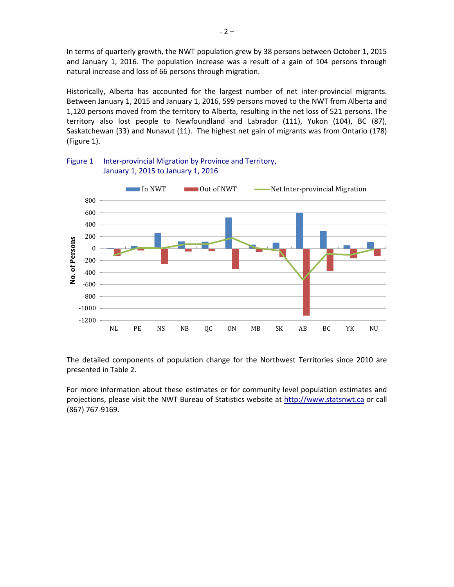In terms of quarterly growth, the NWT population grew by 38 persons between October 1, 2015 and January 1, 2016. The population increase was a result of a gain of 104 persons through natural increase and loss of 66 persons through migration.

Historically, Alberta has accounted for the largest number of net inter-provincial migrants. Between January 1, 2015 and January 1, 2016, 599 persons moved to the NWT from Alberta and 1,120 persons moved from the territory to Alberta, resulting in the net loss of 521 persons. The territory also lost people to Newfoundland and Labrador (111), Yukon (104), BC (87), Saskatchewan (33) and Nunavut (11). The highest net gain of migrants was from Ontario (178) (Figure 1).



## Figure 1 Inter-provincial Migration by Province and Territory, January 1, 2015 to January 1, 2016

The detailed components of population change for the Northwest Territories since 2010 are presented in Table 2.

For more information about these estimates or for community level population estimates and projections, please visit the NWT Bureau of Statistics website at http://www.statsnwt.ca or call (867) 767-9169.